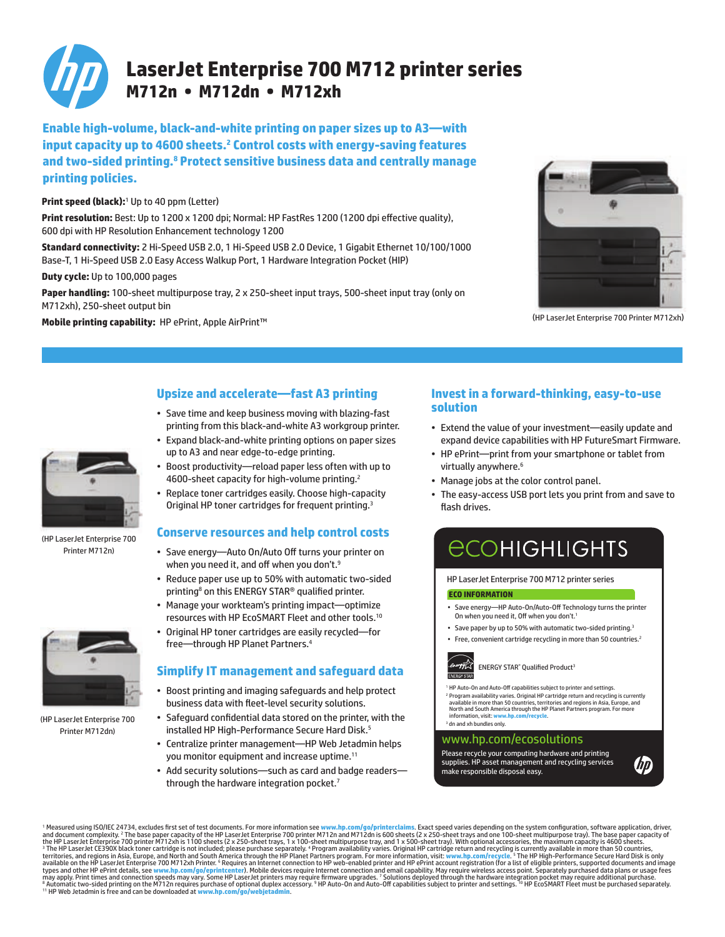

**Enable high-volume, black-and-white printing on paper sizes up to A3—with**  input capacity up to 4600 sheets.<sup>2</sup> Control costs with energy-saving features **and two-sided printing.8 Protect sensitive business data and centrally manage printing policies.**

### **Print speed (black):**<sup>1</sup> Up to 40 ppm (Letter)

**Print resolution:** Best: Up to 1200 x 1200 dpi; Normal: HP FastRes 1200 (1200 dpi effective quality), 600 dpi with HP Resolution Enhancement technology 1200

**Standard connectivity:** 2 Hi-Speed USB 2.0, 1 Hi-Speed USB 2.0 Device, 1 Gigabit Ethernet 10/100/1000 Base-T, 1 Hi-Speed USB 2.0 Easy Access Walkup Port, 1 Hardware Integration Pocket (HIP)

**Duty cycle:** Up to 100,000 pages

Paper handling: 100-sheet multipurpose tray, 2 x 250-sheet input trays, 500-sheet input tray (only on M712xh), 250-sheet output bin

Mobile printing capability: HP ePrint, Apple AirPrint™ (HPLaserJet Enterprise 700 Printer M712xh)





(HP LaserJet Enterprise 700 Printer M712n)

(HP LaserJet Enterprise 700 Printer M712dn)

# **Upsize and accelerate—fast A3 printing**

- • Save time and keep business moving with blazing-fast printing from this black-and-white A3 workgroup printer.
- Expand black-and-white printing options on paper sizes up to A3 and near edge-to-edge printing.
- • Boost productivity—reload paper less often with up to 4600-sheet capacity for high-volume printing.<sup>2</sup>
- Replace toner cartridges easily. Choose high-capacity Original HP toner cartridges for frequent printing.<sup>3</sup>

### **Conserve resources and help control costs**

- • Save energy—Auto On/Auto Off turns your printer on when you need it, and off when you don't.<sup>9</sup>
- • Reduce paper use up to 50% with automatic two-sided printing<sup>8</sup> on this ENERGY STAR® qualified printer.
- Manage your workteam's printing impact—optimize resources with HP EcoSMART Fleet and other tools.<sup>10</sup>
- • Original HP toner cartridges are easily recycled—for free—through HP Planet Partners.<sup>4</sup>

## **Simplify IT management and safeguard data**

- • Boost printing and imaging safeguards and help protect business data with fleet-level security solutions.
- • Safeguard confidential data stored on the printer, with the installed HP High-Performance Secure Hard Disk.<sup>5</sup>
- • Centralize printer management—HP Web Jetadmin helps you monitor equipment and increase uptime.<sup>11</sup>
- Add security solutions—such as card and badge readers through the hardware integration pocket.<sup>7</sup>

### **Invest in a forward-thinking, easy-to-use solution**

- • Extend the value of your investment—easily update and expand device capabilities with HP FutureSmart Firmware.
- HP ePrint—print from your smartphone or tablet from virtually anywhere.<sup>6</sup>
- Manage jobs at the color control panel.
- The easy-access USB port lets you print from and save to flash drives.

# **ECOHIGHLIGHTS**

#### HP LaserJet Enterprise 700 M712 printer series

#### **ECO INFORMATION**

- • Save energy—HP Auto-On/Auto-Off Technology turns the printer On when you need it, Off when you don't.<sup>1</sup>
- Save paper by up to 50% with automatic two-sided printing.<sup>3</sup>
- Free, convenient cartridge recycling in more than 50 countries.<sup>2</sup>



ENERGY STAR® Qualified Product3

<sup>1</sup> HP Auto-On and Auto-Off capabilities subiect to printer and settings. <sup>2</sup> Program availability varies. Original HP cartridge return and recycling is currently<br>available in more than 50 countries, territories and regions in Asia, Europe, and<br>North and South America through the HP Planet Partn information, visit: www.h <sup>3</sup> dn and xh bundles only.

### www.hp.com/ecosolutions

Please recycle your computing hardware and printing supplies. HP asset management and recycling services make responsible disposal easy.



<sup>1</sup> Measured using ISO/IEC 24734, excludes first set of test documents. For more information see www.hp.com/go/printerclaims. Exact speed varies depending on the system configuration, software application, driver, and the types and other HP ePrint details, see www.<mark>hp.com/go/eprintcente</mark>r). Mobile devices require Internet connection and email capability. May require wireless access point. Separately purchased data plans or usage fees<br>may ap <sup>11</sup> HP Web Jetadmin is free and can be downloaded at **www.hp.com**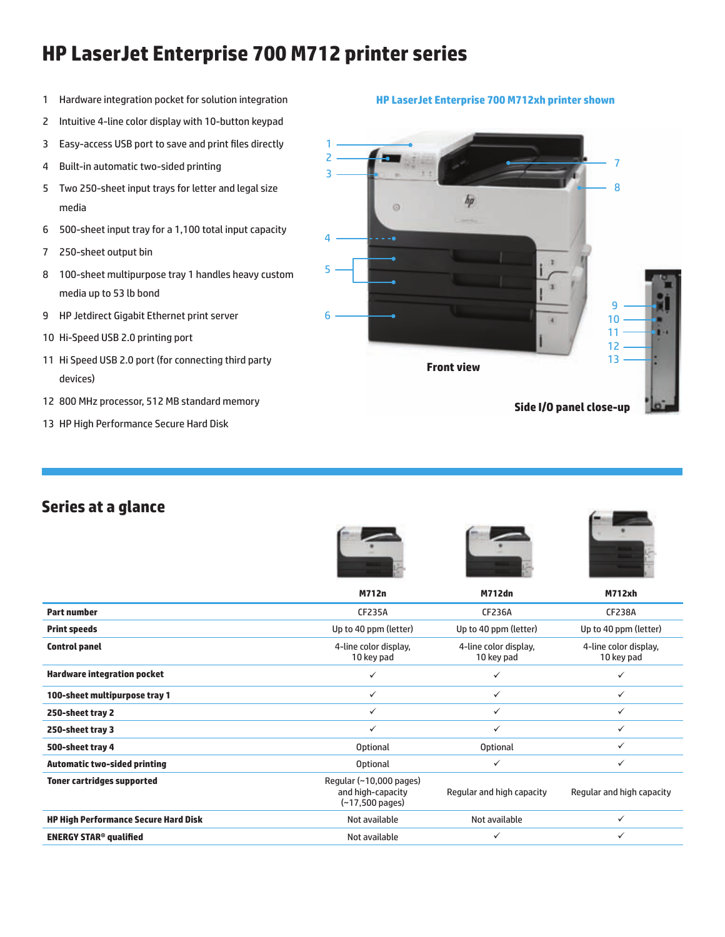# **HP LaserJet Enterprise 700 M712 printer series**

- 1 Hardware integration pocket for solution integration
- 2 Intuitive 4-line color display with 10-button keypad
- 3 Easy-access USB port to save and print files directly
- 4 Built-in automatic two-sided printing
- 5 Two 250-sheet input trays for letter and legal size media
- 6 500-sheet input tray for a 1,100 total input capacity
- 7 250-sheet output bin
- 8 100-sheet multipurpose tray 1 handles heavy custom media up to 53 lb bond
- 9 HP Jetdirect Gigabit Ethernet print server
- 10 Hi-Speed USB 2.0 printing port
- 11 Hi Speed USB 2.0 port (for connecting third party devices)
- 12 800 MHz processor, 512 MB standard memory
- 13 HP High Performance Secure Hard Disk

### **HP LaserJet Enterprise 700 M712xh printer shown**



# **Series at a glance**







|                                             | <b>M712n</b>                                                                            | <b>M712dn</b>                       | <b>M712xh</b>                       |
|---------------------------------------------|-----------------------------------------------------------------------------------------|-------------------------------------|-------------------------------------|
| <b>Part number</b>                          | <b>CF235A</b>                                                                           | <b>CF236A</b>                       | <b>CF238A</b>                       |
| <b>Print speeds</b>                         | Up to 40 ppm (letter)                                                                   | Up to 40 ppm (letter)               | Up to 40 ppm (letter)               |
| <b>Control panel</b>                        | 4-line color display,<br>10 key pad                                                     | 4-line color display,<br>10 key pad | 4-line color display,<br>10 key pad |
| <b>Hardware integration pocket</b>          | $\checkmark$                                                                            | $\checkmark$                        | $\checkmark$                        |
| 100-sheet multipurpose tray 1               | $\checkmark$                                                                            | $\checkmark$                        | $\checkmark$                        |
| 250-sheet tray 2                            | ✓                                                                                       | $\checkmark$                        | $\checkmark$                        |
| 250-sheet tray 3                            | $\checkmark$                                                                            | ✓                                   | ✓                                   |
| 500-sheet tray 4                            | Optional                                                                                | <b>Optional</b>                     | $\checkmark$                        |
| <b>Automatic two-sided printing</b>         | Optional                                                                                | $\checkmark$                        | ✓                                   |
| <b>Toner cartridges supported</b>           | Regular $(\sim 10,000 \text{ pages})$<br>and high-capacity<br>$(-17,500 \text{ pages})$ | Regular and high capacity           | Regular and high capacity           |
| <b>HP High Performance Secure Hard Disk</b> | Not available                                                                           | Not available                       | ✓                                   |
| <b>ENERGY STAR<sup>®</sup> qualified</b>    | Not available                                                                           | $\checkmark$                        | ✓                                   |
|                                             |                                                                                         |                                     |                                     |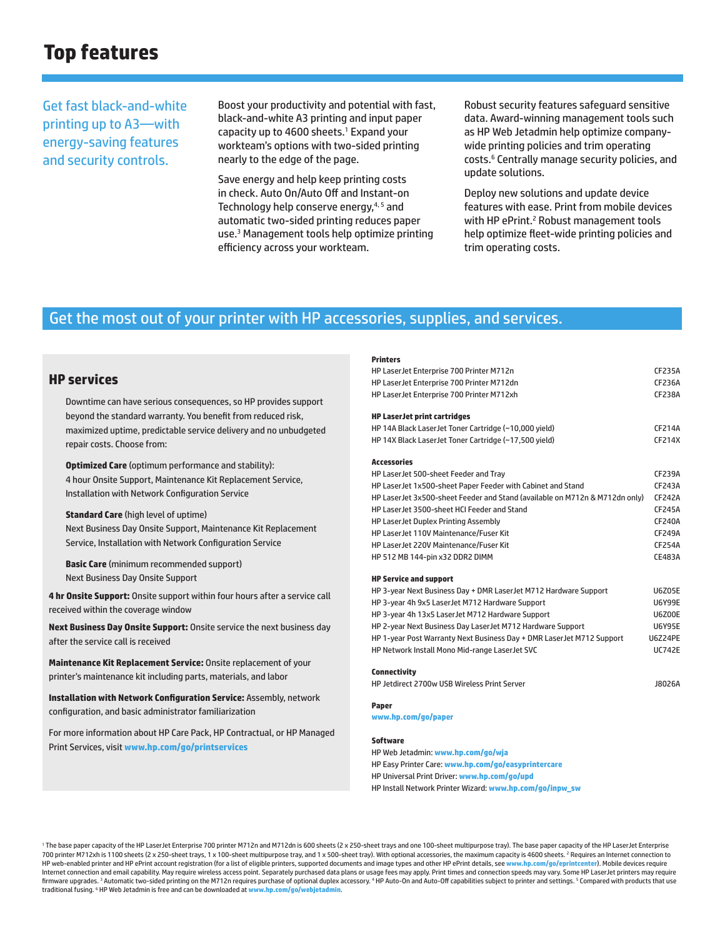# **Top features**

Get fast black-and-white printing up to A3—with energy-saving features and security controls.

Boost your productivity and potential with fast, black-and-white A3 printing and input paper capacity up to 4600 sheets.<sup>1</sup> Expand your workteam's options with two-sided printing nearly to the edge of the page.

Save energy and help keep printing costs in check. Auto On/Auto Off and Instant-on Technology help conserve energy,<sup>4,5</sup> and automatic two-sided printing reduces paper use.3 Management tools help optimize printing efficiency across your workteam.

Robust security features safeguard sensitive data. Award-winning management tools such as HP Web Jetadmin help optimize companywide printing policies and trim operating costs.<sup>6</sup> Centrally manage security policies, and update solutions.

Deploy new solutions and update device features with ease. Print from mobile devices with HP ePrint.<sup>2</sup> Robust management tools help optimize fleet-wide printing policies and trim operating costs.

## Get the most out of your printer with HP accessories, supplies, and services.

### **HP services**

Downtime can have serious consequences, so HP provides support beyond the standard warranty. You benefit from reduced risk, maximized uptime, predictable service delivery and no unbudgeted repair costs. Choose from:

**Optimized Care** (optimum performance and stability): 4 hour Onsite Support, Maintenance Kit Replacement Service, Installation with Network Configuration Service

**Standard Care** (high level of uptime) Next Business Day Onsite Support, Maintenance Kit Replacement Service, Installation with Network Configuration Service

**Basic Care** (minimum recommended support) Next Business Day Onsite Support

**4 hr Onsite Support:** Onsite support within four hours after a service call received within the coverage window

**Next Business Day Onsite Support:** Onsite service the next business day after the service call is received

**Maintenance Kit Replacement Service:** Onsite replacement of your printer's maintenance kit including parts, materials, and labor

**Installation with Network Configuration Service:** Assembly, network configuration, and basic administrator familiarization

For more information about HP Care Pack, HP Contractual, or HP Managed Print Services, visit **www.hp.com/go/printservices**

| HP LaserJet Enterprise 700 Printer M712n                                    | <b>CF235A</b> |  |  |
|-----------------------------------------------------------------------------|---------------|--|--|
| HP LaserJet Enterprise 700 Printer M712dn                                   | CF236A        |  |  |
| HP LaserJet Enterprise 700 Printer M712xh                                   | <b>CF238A</b> |  |  |
| <b>HP LaserJet print cartridges</b>                                         |               |  |  |
| HP 14A Black LaserJet Toner Cartridge (~10,000 yield)                       | CF214A        |  |  |
| HP 14X Black LaserJet Toner Cartridge (~17,500 yield)                       | CF214X        |  |  |
| <b>Accessories</b>                                                          |               |  |  |
| HP LaserJet 500-sheet Feeder and Tray                                       | <b>CF239A</b> |  |  |
| HP LaserJet 1x500-sheet Paper Feeder with Cabinet and Stand                 | CF243A        |  |  |
| HP LaserJet 3x500-sheet Feeder and Stand (available on M712n & M712dn only) | <b>CF242A</b> |  |  |
| HP Laser Jet 3500-sheet HCI Feeder and Stand                                | <b>CF245A</b> |  |  |
| HP LaserJet Duplex Printing Assembly                                        | <b>CF240A</b> |  |  |
| HP LaserJet 110V Maintenance/Fuser Kit                                      | <b>CF249A</b> |  |  |
| HP LaserJet 220V Maintenance/Fuser Kit                                      | <b>CF254A</b> |  |  |
| HP 512 MB 144-pin x32 DDR2 DIMM                                             | CE483A        |  |  |
| <b>HP Service and support</b>                                               |               |  |  |
| HP 3-year Next Business Day + DMR LaserJet M712 Hardware Support            | <b>U6Z05E</b> |  |  |
| HP 3-year 4h 9x5 LaserJet M712 Hardware Support                             | <b>U6Y99E</b> |  |  |
| HP 3-year 4h 13x5 LaserJet M712 Hardware Support                            | <b>U6Z00E</b> |  |  |
| HP 2-year Next Business Day LaserJet M712 Hardware Support                  | <b>U6Y95E</b> |  |  |
| HP 1-year Post Warranty Next Business Day + DMR LaserJet M712 Support       |               |  |  |

HP Network Install Mono Mid-range LaserJet SVC UC742E

**Connectivity**

**Printers**

HP Jetdirect 2700w USB Wireless Print Server January 20026A

#### **Paper**

**www.hp.com/go/paper**

## **Software**

HP Web Jetadmin: **www.hp.com/go/wja** HP Easy Printer Care: **www.hp.com/go/easyprintercare** HP Universal Print Driver: **www.hp.com/go/upd**

HP Install Network Printer Wizard: **www.hp.com/go/inpw\_sw**

<sup>1</sup> The base paper capacity of the HP LaserJet Enterprise 700 printer M712n and M712dn is 600 sheets (2 x 250-sheet trays and one 100-sheet multipurpose tray). The base paper capacity of the HP LaserJet Enterprise 700 printer M712xh is 1100 sheets (2 x 250-sheet trays, 1 x 100-sheet multipurpose tray, and 1 x 500-sheet tray). With optional accessories, the maximum capacity is 4600 sheets. <sup>2</sup> Requires an Internet connection to HP web-enabled printer and HP ePrint account registration (for a list of eligible printers, supported documents and image types and other HP ePrint details, see **www.hp.com/go/eprintcenter**). Mobile devices require Internet connection and email capability. May require wireless access point. Separately purchased data plans or usage fees may apply. Print times and connection speeds may vary. Some HP LaserJet printers may require firmware upgrades. <sup>3</sup> Automatic two-sided printing on the M712n requires purchase of optional duplex accessory. <sup>4</sup> HP Auto-On and Auto-Off capabilities subject to printer and settings. <sup>5</sup> Compared with products that use traditional fusing. <sup>6</sup> HP Web Jetadmin is free and can be downloaded at **www.hp.com/go/webietad**